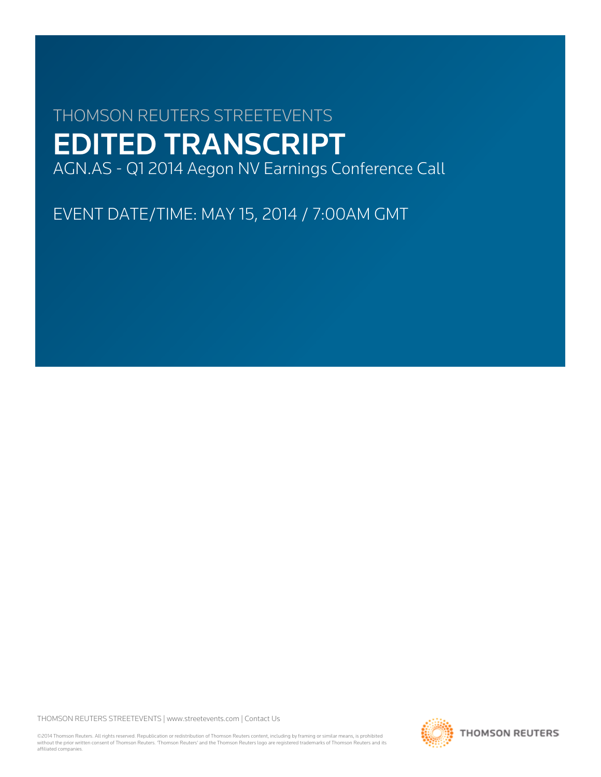# THOMSON REUTERS STREETEVENTS EDITED TRANSCRIPT AGN.AS - Q1 2014 Aegon NV Earnings Conference Call

EVENT DATE/TIME: MAY 15, 2014 / 7:00AM GMT

THOMSON REUTERS STREETEVENTS | www.streetevents.com | Contact Us

©2014 Thomson Reuters. All rights reserved. Republication or redistribution of Thomson Reuters content, including by framing or similar means, is prohibited without the prior written consent of Thomson Reuters. 'Thomson Reuters' and the Thomson Reuters logo are registered trademarks of Thomson Reuters and its affiliated companies.

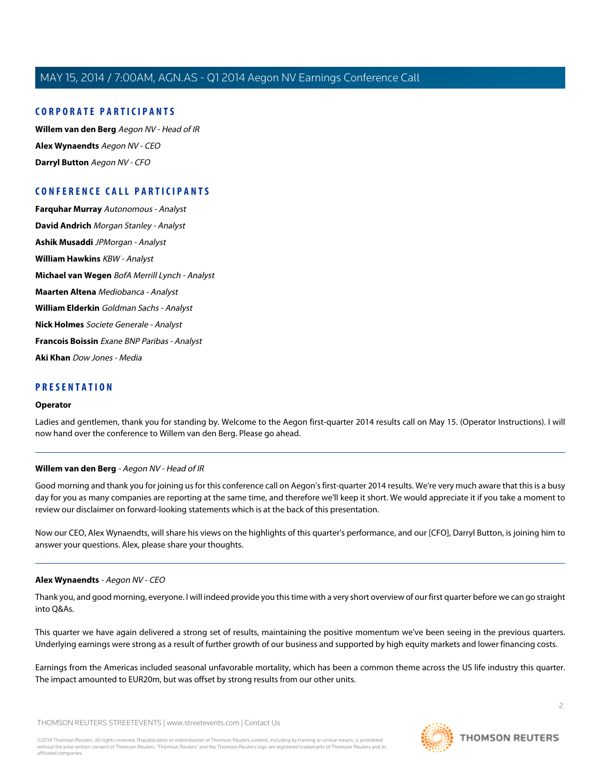#### **CORPORATE PARTICIPANTS**

**[Willem van den Berg](#page-1-0)** Aegon NV - Head of IR **[Alex Wynaendts](#page-1-1)** Aegon NV - CEO **[Darryl Button](#page-3-0)** Aegon NV - CFO

## **CONFERENCE CALL PARTICIPANTS**

**[Farquhar Murray](#page-3-1)** Autonomous - Analyst **[David Andrich](#page-3-2)** Morgan Stanley - Analyst **[Ashik Musaddi](#page-4-0)** JPMorgan - Analyst **[William Hawkins](#page-6-0)** KBW - Analyst **[Michael van Wegen](#page-7-0)** BofA Merrill Lynch - Analyst **[Maarten Altena](#page-8-0)** Mediobanca - Analyst **[William Elderkin](#page-9-0)** Goldman Sachs - Analyst **[Nick Holmes](#page-10-0)** Societe Generale - Analyst **[Francois Boissin](#page-11-0)** Exane BNP Paribas - Analyst **[Aki Khan](#page-13-0)** Dow Jones - Media

#### **PRESENTATION**

#### **Operator**

<span id="page-1-0"></span>Ladies and gentlemen, thank you for standing by. Welcome to the Aegon first-quarter 2014 results call on May 15. (Operator Instructions). I will now hand over the conference to Willem van den Berg. Please go ahead.

#### **Willem van den Berg** - Aegon NV - Head of IR

Good morning and thank you for joining us for this conference call on Aegon's first-quarter 2014 results. We're very much aware that this is a busy day for you as many companies are reporting at the same time, and therefore we'll keep it short. We would appreciate it if you take a moment to review our disclaimer on forward-looking statements which is at the back of this presentation.

<span id="page-1-1"></span>Now our CEO, Alex Wynaendts, will share his views on the highlights of this quarter's performance, and our [CFO], Darryl Button, is joining him to answer your questions. Alex, please share your thoughts.

#### **Alex Wynaendts** - Aegon NV - CEO

Thank you, and good morning, everyone. I will indeed provide you this time with a very short overview of our first quarter before we can go straight into Q&As.

This quarter we have again delivered a strong set of results, maintaining the positive momentum we've been seeing in the previous quarters. Underlying earnings were strong as a result of further growth of our business and supported by high equity markets and lower financing costs.

Earnings from the Americas included seasonal unfavorable mortality, which has been a common theme across the US life industry this quarter. The impact amounted to EUR20m, but was offset by strong results from our other units.

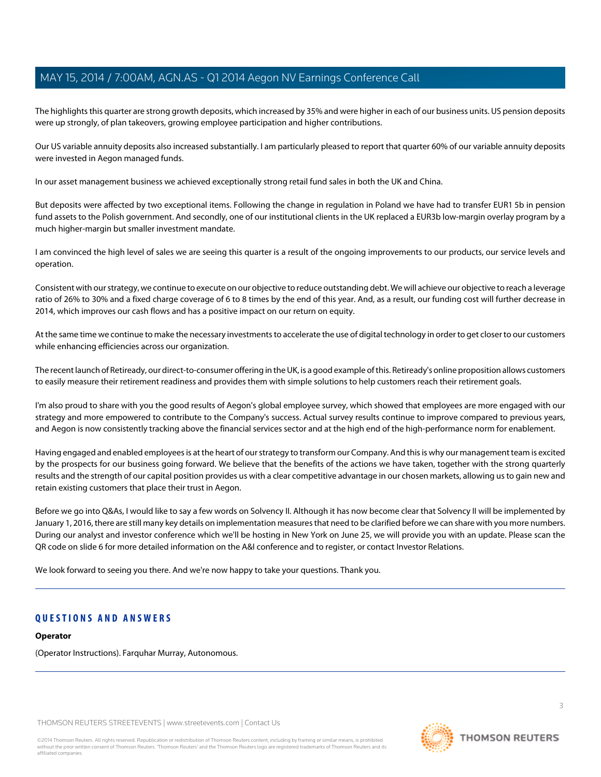The highlights this quarter are strong growth deposits, which increased by 35% and were higher in each of our business units. US pension deposits were up strongly, of plan takeovers, growing employee participation and higher contributions.

Our US variable annuity deposits also increased substantially. I am particularly pleased to report that quarter 60% of our variable annuity deposits were invested in Aegon managed funds.

In our asset management business we achieved exceptionally strong retail fund sales in both the UK and China.

But deposits were affected by two exceptional items. Following the change in regulation in Poland we have had to transfer EUR1 5b in pension fund assets to the Polish government. And secondly, one of our institutional clients in the UK replaced a EUR3b low-margin overlay program by a much higher-margin but smaller investment mandate.

I am convinced the high level of sales we are seeing this quarter is a result of the ongoing improvements to our products, our service levels and operation.

Consistent with our strategy, we continue to execute on our objective to reduce outstanding debt. We will achieve our objective to reach a leverage ratio of 26% to 30% and a fixed charge coverage of 6 to 8 times by the end of this year. And, as a result, our funding cost will further decrease in 2014, which improves our cash flows and has a positive impact on our return on equity.

At the same time we continue to make the necessary investments to accelerate the use of digital technology in order to get closer to our customers while enhancing efficiencies across our organization.

The recent launch of Retiready, our direct-to-consumer offering in the UK, is a good example of this. Retiready's online proposition allows customers to easily measure their retirement readiness and provides them with simple solutions to help customers reach their retirement goals.

I'm also proud to share with you the good results of Aegon's global employee survey, which showed that employees are more engaged with our strategy and more empowered to contribute to the Company's success. Actual survey results continue to improve compared to previous years, and Aegon is now consistently tracking above the financial services sector and at the high end of the high-performance norm for enablement.

Having engaged and enabled employees is at the heart of our strategy to transform our Company. And this is why our management team is excited by the prospects for our business going forward. We believe that the benefits of the actions we have taken, together with the strong quarterly results and the strength of our capital position provides us with a clear competitive advantage in our chosen markets, allowing us to gain new and retain existing customers that place their trust in Aegon.

Before we go into Q&As, I would like to say a few words on Solvency II. Although it has now become clear that Solvency II will be implemented by January 1, 2016, there are still many key details on implementation measures that need to be clarified before we can share with you more numbers. During our analyst and investor conference which we'll be hosting in New York on June 25, we will provide you with an update. Please scan the QR code on slide 6 for more detailed information on the A&I conference and to register, or contact Investor Relations.

We look forward to seeing you there. And we're now happy to take your questions. Thank you.

## **QUESTIONS AND ANSWERS**

#### **Operator**

(Operator Instructions). Farquhar Murray, Autonomous.

THOMSON REUTERS STREETEVENTS | www.streetevents.com | Contact Us

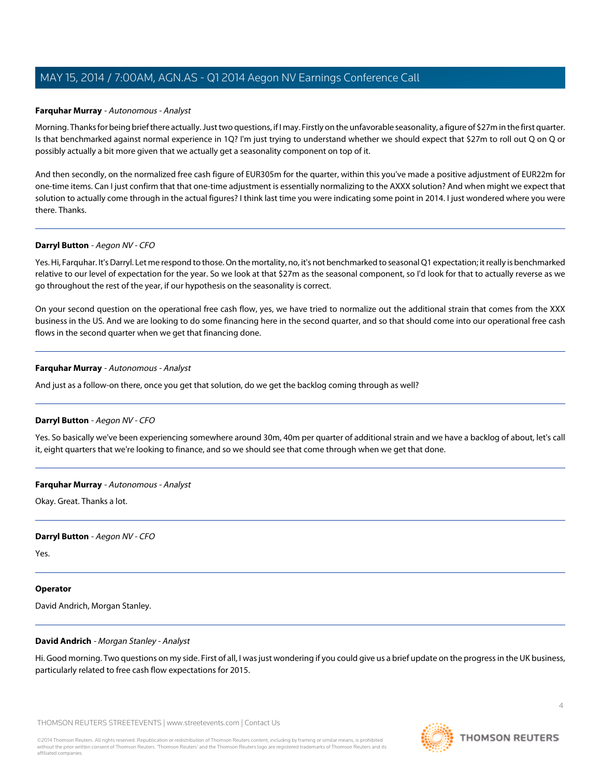#### <span id="page-3-1"></span>**Farquhar Murray** - Autonomous - Analyst

Morning. Thanks for being brief there actually. Just two questions, if I may. Firstly on the unfavorable seasonality, a figure of \$27m in the first quarter. Is that benchmarked against normal experience in 1Q? I'm just trying to understand whether we should expect that \$27m to roll out Q on Q or possibly actually a bit more given that we actually get a seasonality component on top of it.

And then secondly, on the normalized free cash figure of EUR305m for the quarter, within this you've made a positive adjustment of EUR22m for one-time items. Can I just confirm that that one-time adjustment is essentially normalizing to the AXXX solution? And when might we expect that solution to actually come through in the actual figures? I think last time you were indicating some point in 2014. I just wondered where you were there. Thanks.

#### <span id="page-3-0"></span>**Darryl Button** - Aegon NV - CFO

Yes. Hi, Farquhar. It's Darryl. Let me respond to those. On the mortality, no, it's not benchmarked to seasonal Q1 expectation; it really is benchmarked relative to our level of expectation for the year. So we look at that \$27m as the seasonal component, so I'd look for that to actually reverse as we go throughout the rest of the year, if our hypothesis on the seasonality is correct.

On your second question on the operational free cash flow, yes, we have tried to normalize out the additional strain that comes from the XXX business in the US. And we are looking to do some financing here in the second quarter, and so that should come into our operational free cash flows in the second quarter when we get that financing done.

#### **Farquhar Murray** - Autonomous - Analyst

And just as a follow-on there, once you get that solution, do we get the backlog coming through as well?

#### **Darryl Button** - Aegon NV - CFO

Yes. So basically we've been experiencing somewhere around 30m, 40m per quarter of additional strain and we have a backlog of about, let's call it, eight quarters that we're looking to finance, and so we should see that come through when we get that done.

#### **Farquhar Murray** - Autonomous - Analyst

Okay. Great. Thanks a lot.

#### **Darryl Button** - Aegon NV - CFO

Yes.

### <span id="page-3-2"></span>**Operator**

David Andrich, Morgan Stanley.

#### **David Andrich** - Morgan Stanley - Analyst

Hi. Good morning. Two questions on my side. First of all, I was just wondering if you could give us a brief update on the progress in the UK business, particularly related to free cash flow expectations for 2015.

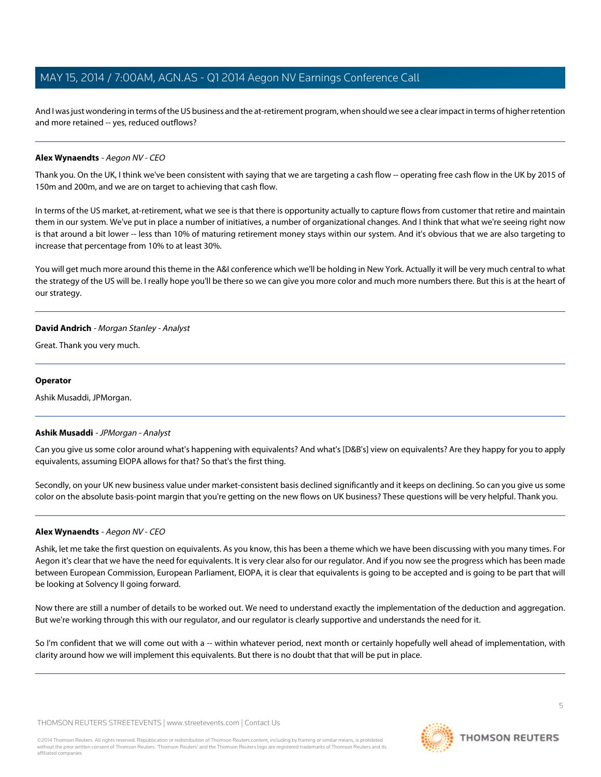And I was just wondering in terms of the US business and the at-retirement program, when should we see a clear impact in terms of higher retention and more retained -- yes, reduced outflows?

#### **Alex Wynaendts** - Aegon NV - CEO

Thank you. On the UK, I think we've been consistent with saying that we are targeting a cash flow -- operating free cash flow in the UK by 2015 of 150m and 200m, and we are on target to achieving that cash flow.

In terms of the US market, at-retirement, what we see is that there is opportunity actually to capture flows from customer that retire and maintain them in our system. We've put in place a number of initiatives, a number of organizational changes. And I think that what we're seeing right now is that around a bit lower -- less than 10% of maturing retirement money stays within our system. And it's obvious that we are also targeting to increase that percentage from 10% to at least 30%.

You will get much more around this theme in the A&I conference which we'll be holding in New York. Actually it will be very much central to what the strategy of the US will be. I really hope you'll be there so we can give you more color and much more numbers there. But this is at the heart of our strategy.

#### **David Andrich** - Morgan Stanley - Analyst

Great. Thank you very much.

#### **Operator**

<span id="page-4-0"></span>Ashik Musaddi, JPMorgan.

#### **Ashik Musaddi** - JPMorgan - Analyst

Can you give us some color around what's happening with equivalents? And what's [D&B's] view on equivalents? Are they happy for you to apply equivalents, assuming EIOPA allows for that? So that's the first thing.

Secondly, on your UK new business value under market-consistent basis declined significantly and it keeps on declining. So can you give us some color on the absolute basis-point margin that you're getting on the new flows on UK business? These questions will be very helpful. Thank you.

### **Alex Wynaendts** - Aegon NV - CEO

Ashik, let me take the first question on equivalents. As you know, this has been a theme which we have been discussing with you many times. For Aegon it's clear that we have the need for equivalents. It is very clear also for our regulator. And if you now see the progress which has been made between European Commission, European Parliament, EIOPA, it is clear that equivalents is going to be accepted and is going to be part that will be looking at Solvency II going forward.

Now there are still a number of details to be worked out. We need to understand exactly the implementation of the deduction and aggregation. But we're working through this with our regulator, and our regulator is clearly supportive and understands the need for it.

So I'm confident that we will come out with a -- within whatever period, next month or certainly hopefully well ahead of implementation, with clarity around how we will implement this equivalents. But there is no doubt that that will be put in place.

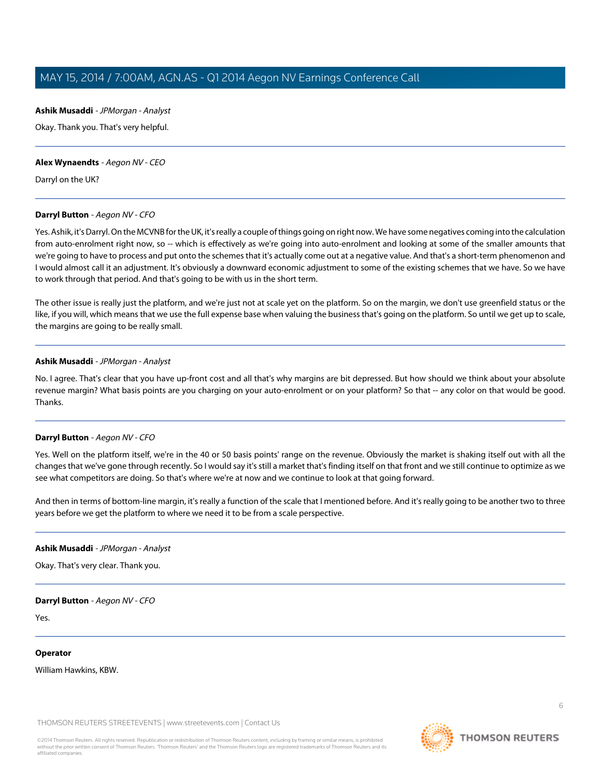**Ashik Musaddi** - JPMorgan - Analyst Okay. Thank you. That's very helpful.

## **Alex Wynaendts** - Aegon NV - CEO

Darryl on the UK?

#### **Darryl Button** - Aegon NV - CFO

Yes. Ashik, it's Darryl. On the MCVNB for the UK, it's really a couple of things going on right now. We have some negatives coming into the calculation from auto-enrolment right now, so -- which is effectively as we're going into auto-enrolment and looking at some of the smaller amounts that we're going to have to process and put onto the schemes that it's actually come out at a negative value. And that's a short-term phenomenon and I would almost call it an adjustment. It's obviously a downward economic adjustment to some of the existing schemes that we have. So we have to work through that period. And that's going to be with us in the short term.

The other issue is really just the platform, and we're just not at scale yet on the platform. So on the margin, we don't use greenfield status or the like, if you will, which means that we use the full expense base when valuing the business that's going on the platform. So until we get up to scale, the margins are going to be really small.

#### **Ashik Musaddi** - JPMorgan - Analyst

No. I agree. That's clear that you have up-front cost and all that's why margins are bit depressed. But how should we think about your absolute revenue margin? What basis points are you charging on your auto-enrolment or on your platform? So that -- any color on that would be good. Thanks.

### **Darryl Button** - Aegon NV - CFO

Yes. Well on the platform itself, we're in the 40 or 50 basis points' range on the revenue. Obviously the market is shaking itself out with all the changes that we've gone through recently. So I would say it's still a market that's finding itself on that front and we still continue to optimize as we see what competitors are doing. So that's where we're at now and we continue to look at that going forward.

And then in terms of bottom-line margin, it's really a function of the scale that I mentioned before. And it's really going to be another two to three years before we get the platform to where we need it to be from a scale perspective.

#### **Ashik Musaddi** - JPMorgan - Analyst

Okay. That's very clear. Thank you.

#### **Darryl Button** - Aegon NV - CFO

Yes.

**Operator** 

William Hawkins, KBW.

THOMSON REUTERS STREETEVENTS | www.streetevents.com | Contact Us

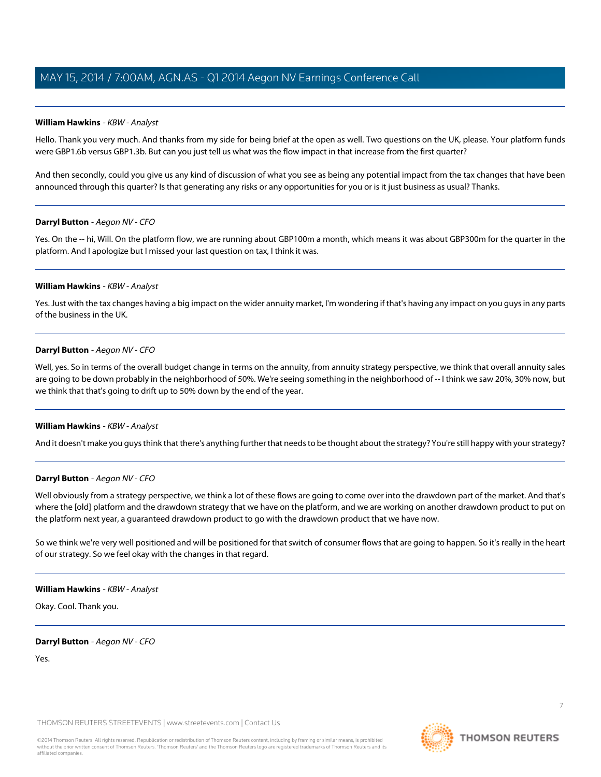#### <span id="page-6-0"></span>**William Hawkins** - KBW - Analyst

Hello. Thank you very much. And thanks from my side for being brief at the open as well. Two questions on the UK, please. Your platform funds were GBP1.6b versus GBP1.3b. But can you just tell us what was the flow impact in that increase from the first quarter?

And then secondly, could you give us any kind of discussion of what you see as being any potential impact from the tax changes that have been announced through this quarter? Is that generating any risks or any opportunities for you or is it just business as usual? Thanks.

#### **Darryl Button** - Aegon NV - CFO

Yes. On the -- hi, Will. On the platform flow, we are running about GBP100m a month, which means it was about GBP300m for the quarter in the platform. And I apologize but I missed your last question on tax, I think it was.

#### **William Hawkins** - KBW - Analyst

Yes. Just with the tax changes having a big impact on the wider annuity market, I'm wondering if that's having any impact on you guys in any parts of the business in the UK.

#### **Darryl Button** - Aegon NV - CFO

Well, yes. So in terms of the overall budget change in terms on the annuity, from annuity strategy perspective, we think that overall annuity sales are going to be down probably in the neighborhood of 50%. We're seeing something in the neighborhood of -- I think we saw 20%, 30% now, but we think that that's going to drift up to 50% down by the end of the year.

#### **William Hawkins** - KBW - Analyst

And it doesn't make you guys think that there's anything further that needs to be thought about the strategy? You're still happy with your strategy?

#### **Darryl Button** - Aegon NV - CFO

Well obviously from a strategy perspective, we think a lot of these flows are going to come over into the drawdown part of the market. And that's where the [old] platform and the drawdown strategy that we have on the platform, and we are working on another drawdown product to put on the platform next year, a guaranteed drawdown product to go with the drawdown product that we have now.

So we think we're very well positioned and will be positioned for that switch of consumer flows that are going to happen. So it's really in the heart of our strategy. So we feel okay with the changes in that regard.

#### **William Hawkins** - KBW - Analyst

Okay. Cool. Thank you.

#### **Darryl Button** - Aegon NV - CFO

Yes.

THOMSON REUTERS STREETEVENTS | www.streetevents.com | Contact Us

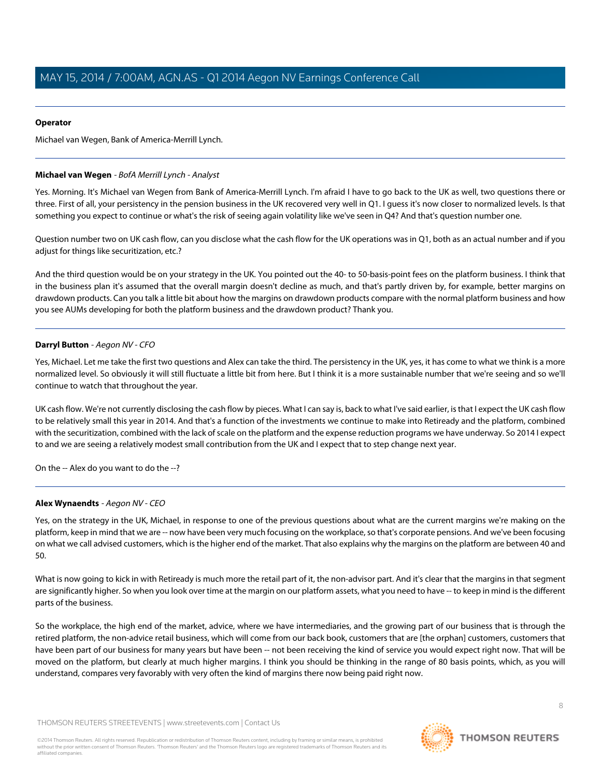#### **Operator**

Michael van Wegen, Bank of America-Merrill Lynch.

#### <span id="page-7-0"></span>**Michael van Wegen** - BofA Merrill Lynch - Analyst

Yes. Morning. It's Michael van Wegen from Bank of America-Merrill Lynch. I'm afraid I have to go back to the UK as well, two questions there or three. First of all, your persistency in the pension business in the UK recovered very well in Q1. I guess it's now closer to normalized levels. Is that something you expect to continue or what's the risk of seeing again volatility like we've seen in Q4? And that's question number one.

Question number two on UK cash flow, can you disclose what the cash flow for the UK operations was in Q1, both as an actual number and if you adjust for things like securitization, etc.?

And the third question would be on your strategy in the UK. You pointed out the 40- to 50-basis-point fees on the platform business. I think that in the business plan it's assumed that the overall margin doesn't decline as much, and that's partly driven by, for example, better margins on drawdown products. Can you talk a little bit about how the margins on drawdown products compare with the normal platform business and how you see AUMs developing for both the platform business and the drawdown product? Thank you.

#### **Darryl Button** - Aegon NV - CFO

Yes, Michael. Let me take the first two questions and Alex can take the third. The persistency in the UK, yes, it has come to what we think is a more normalized level. So obviously it will still fluctuate a little bit from here. But I think it is a more sustainable number that we're seeing and so we'll continue to watch that throughout the year.

UK cash flow. We're not currently disclosing the cash flow by pieces. What I can say is, back to what I've said earlier, is that I expect the UK cash flow to be relatively small this year in 2014. And that's a function of the investments we continue to make into Retiready and the platform, combined with the securitization, combined with the lack of scale on the platform and the expense reduction programs we have underway. So 2014 I expect to and we are seeing a relatively modest small contribution from the UK and I expect that to step change next year.

On the -- Alex do you want to do the --?

### **Alex Wynaendts** - Aegon NV - CEO

Yes, on the strategy in the UK, Michael, in response to one of the previous questions about what are the current margins we're making on the platform, keep in mind that we are -- now have been very much focusing on the workplace, so that's corporate pensions. And we've been focusing on what we call advised customers, which is the higher end of the market. That also explains why the margins on the platform are between 40 and 50.

What is now going to kick in with Retiready is much more the retail part of it, the non-advisor part. And it's clear that the margins in that segment are significantly higher. So when you look over time at the margin on our platform assets, what you need to have -- to keep in mind is the different parts of the business.

So the workplace, the high end of the market, advice, where we have intermediaries, and the growing part of our business that is through the retired platform, the non-advice retail business, which will come from our back book, customers that are [the orphan] customers, customers that have been part of our business for many years but have been -- not been receiving the kind of service you would expect right now. That will be moved on the platform, but clearly at much higher margins. I think you should be thinking in the range of 80 basis points, which, as you will understand, compares very favorably with very often the kind of margins there now being paid right now.

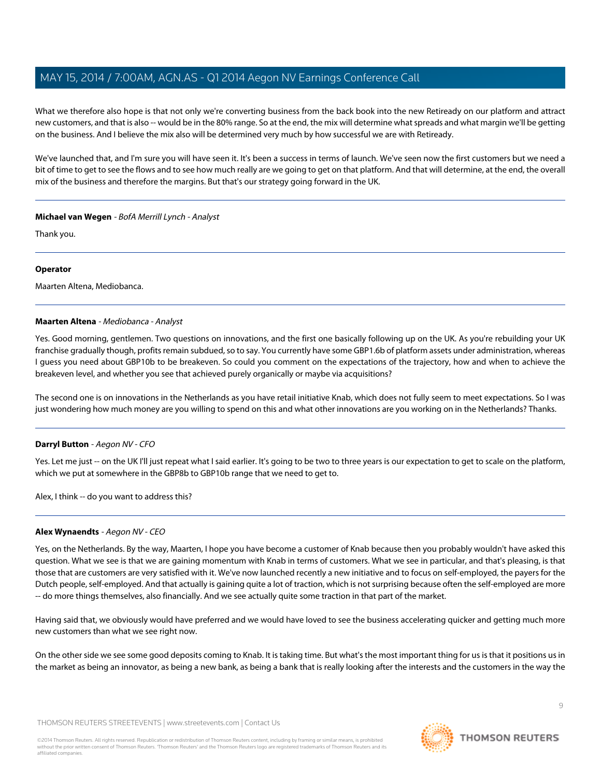What we therefore also hope is that not only we're converting business from the back book into the new Retiready on our platform and attract new customers, and that is also -- would be in the 80% range. So at the end, the mix will determine what spreads and what margin we'll be getting on the business. And I believe the mix also will be determined very much by how successful we are with Retiready.

We've launched that, and I'm sure you will have seen it. It's been a success in terms of launch. We've seen now the first customers but we need a bit of time to get to see the flows and to see how much really are we going to get on that platform. And that will determine, at the end, the overall mix of the business and therefore the margins. But that's our strategy going forward in the UK.

### **Michael van Wegen** - BofA Merrill Lynch - Analyst

Thank you.

#### **Operator**

<span id="page-8-0"></span>Maarten Altena, Mediobanca.

#### **Maarten Altena** - Mediobanca - Analyst

Yes. Good morning, gentlemen. Two questions on innovations, and the first one basically following up on the UK. As you're rebuilding your UK franchise gradually though, profits remain subdued, so to say. You currently have some GBP1.6b of platform assets under administration, whereas I guess you need about GBP10b to be breakeven. So could you comment on the expectations of the trajectory, how and when to achieve the breakeven level, and whether you see that achieved purely organically or maybe via acquisitions?

The second one is on innovations in the Netherlands as you have retail initiative Knab, which does not fully seem to meet expectations. So I was just wondering how much money are you willing to spend on this and what other innovations are you working on in the Netherlands? Thanks.

#### **Darryl Button** - Aegon NV - CFO

Yes. Let me just -- on the UK I'll just repeat what I said earlier. It's going to be two to three years is our expectation to get to scale on the platform, which we put at somewhere in the GBP8b to GBP10b range that we need to get to.

Alex, I think -- do you want to address this?

#### **Alex Wynaendts** - Aegon NV - CEO

Yes, on the Netherlands. By the way, Maarten, I hope you have become a customer of Knab because then you probably wouldn't have asked this question. What we see is that we are gaining momentum with Knab in terms of customers. What we see in particular, and that's pleasing, is that those that are customers are very satisfied with it. We've now launched recently a new initiative and to focus on self-employed, the payers for the Dutch people, self-employed. And that actually is gaining quite a lot of traction, which is not surprising because often the self-employed are more -- do more things themselves, also financially. And we see actually quite some traction in that part of the market.

Having said that, we obviously would have preferred and we would have loved to see the business accelerating quicker and getting much more new customers than what we see right now.

On the other side we see some good deposits coming to Knab. It is taking time. But what's the most important thing for us is that it positions us in the market as being an innovator, as being a new bank, as being a bank that is really looking after the interests and the customers in the way the

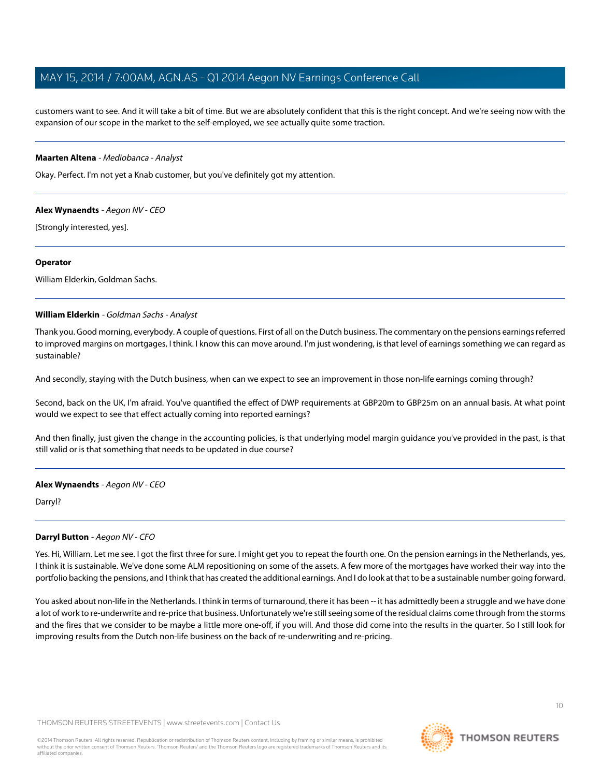customers want to see. And it will take a bit of time. But we are absolutely confident that this is the right concept. And we're seeing now with the expansion of our scope in the market to the self-employed, we see actually quite some traction.

#### **Maarten Altena** - Mediobanca - Analyst

Okay. Perfect. I'm not yet a Knab customer, but you've definitely got my attention.

#### **Alex Wynaendts** - Aegon NV - CEO

[Strongly interested, yes].

#### **Operator**

<span id="page-9-0"></span>William Elderkin, Goldman Sachs.

#### **William Elderkin** - Goldman Sachs - Analyst

Thank you. Good morning, everybody. A couple of questions. First of all on the Dutch business. The commentary on the pensions earnings referred to improved margins on mortgages, I think. I know this can move around. I'm just wondering, is that level of earnings something we can regard as sustainable?

And secondly, staying with the Dutch business, when can we expect to see an improvement in those non-life earnings coming through?

Second, back on the UK, I'm afraid. You've quantified the effect of DWP requirements at GBP20m to GBP25m on an annual basis. At what point would we expect to see that effect actually coming into reported earnings?

And then finally, just given the change in the accounting policies, is that underlying model margin guidance you've provided in the past, is that still valid or is that something that needs to be updated in due course?

#### **Alex Wynaendts** - Aegon NV - CEO

Darryl?

### **Darryl Button** - Aegon NV - CFO

Yes. Hi, William. Let me see. I got the first three for sure. I might get you to repeat the fourth one. On the pension earnings in the Netherlands, yes, I think it is sustainable. We've done some ALM repositioning on some of the assets. A few more of the mortgages have worked their way into the portfolio backing the pensions, and I think that has created the additional earnings. And I do look at that to be a sustainable number going forward.

You asked about non-life in the Netherlands. I think in terms of turnaround, there it has been -- it has admittedly been a struggle and we have done a lot of work to re-underwrite and re-price that business. Unfortunately we're still seeing some of the residual claims come through from the storms and the fires that we consider to be maybe a little more one-off, if you will. And those did come into the results in the quarter. So I still look for improving results from the Dutch non-life business on the back of re-underwriting and re-pricing.



 $1<sup>0</sup>$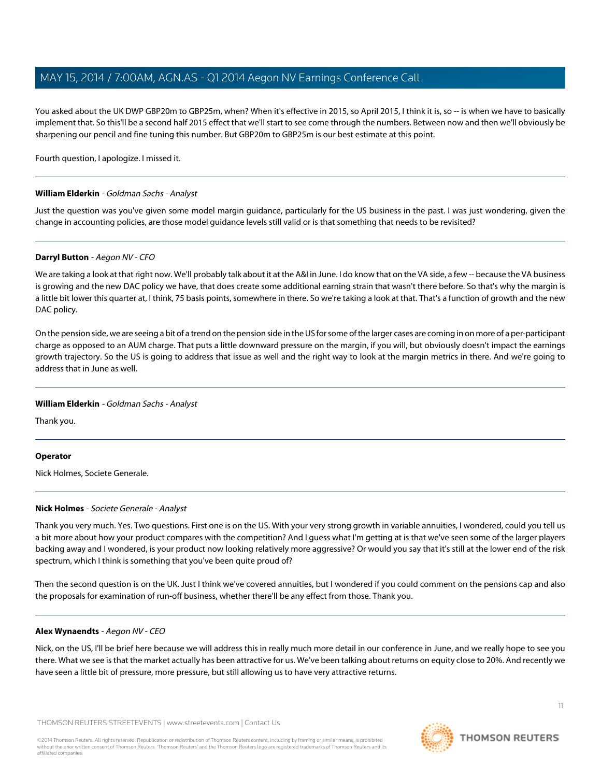You asked about the UK DWP GBP20m to GBP25m, when? When it's effective in 2015, so April 2015, I think it is, so -- is when we have to basically implement that. So this'll be a second half 2015 effect that we'll start to see come through the numbers. Between now and then we'll obviously be sharpening our pencil and fine tuning this number. But GBP20m to GBP25m is our best estimate at this point.

Fourth question, I apologize. I missed it.

#### **William Elderkin** - Goldman Sachs - Analyst

Just the question was you've given some model margin guidance, particularly for the US business in the past. I was just wondering, given the change in accounting policies, are those model guidance levels still valid or is that something that needs to be revisited?

#### **Darryl Button** - Aegon NV - CFO

We are taking a look at that right now. We'll probably talk about it at the A&I in June. I do know that on the VA side, a few -- because the VA business is growing and the new DAC policy we have, that does create some additional earning strain that wasn't there before. So that's why the margin is a little bit lower this quarter at, I think, 75 basis points, somewhere in there. So we're taking a look at that. That's a function of growth and the new DAC policy.

On the pension side, we are seeing a bit of a trend on the pension side in the US for some of the larger cases are coming in on more of a per-participant charge as opposed to an AUM charge. That puts a little downward pressure on the margin, if you will, but obviously doesn't impact the earnings growth trajectory. So the US is going to address that issue as well and the right way to look at the margin metrics in there. And we're going to address that in June as well.

#### **William Elderkin** - Goldman Sachs - Analyst

Thank you.

### <span id="page-10-0"></span>**Operator**

Nick Holmes, Societe Generale.

### **Nick Holmes** - Societe Generale - Analyst

Thank you very much. Yes. Two questions. First one is on the US. With your very strong growth in variable annuities, I wondered, could you tell us a bit more about how your product compares with the competition? And I guess what I'm getting at is that we've seen some of the larger players backing away and I wondered, is your product now looking relatively more aggressive? Or would you say that it's still at the lower end of the risk spectrum, which I think is something that you've been quite proud of?

Then the second question is on the UK. Just I think we've covered annuities, but I wondered if you could comment on the pensions cap and also the proposals for examination of run-off business, whether there'll be any effect from those. Thank you.

### **Alex Wynaendts** - Aegon NV - CEO

Nick, on the US, I'll be brief here because we will address this in really much more detail in our conference in June, and we really hope to see you there. What we see is that the market actually has been attractive for us. We've been talking about returns on equity close to 20%. And recently we have seen a little bit of pressure, more pressure, but still allowing us to have very attractive returns.

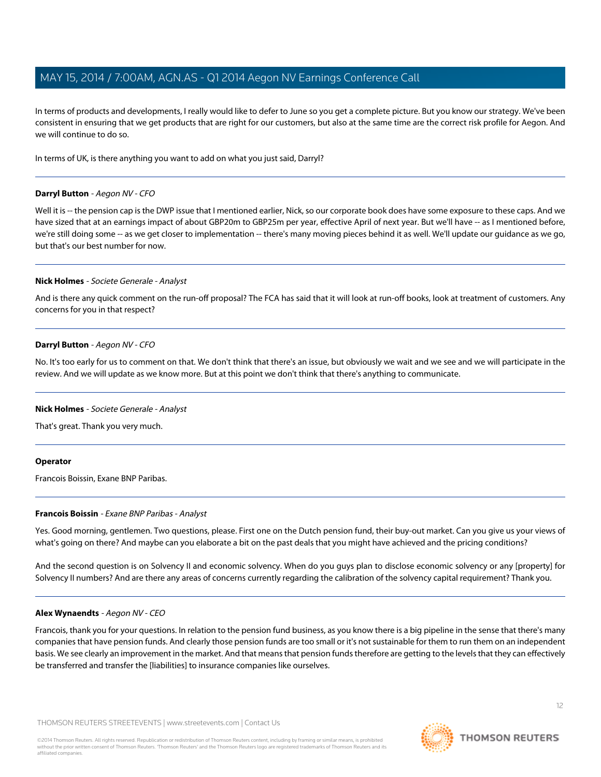In terms of products and developments, I really would like to defer to June so you get a complete picture. But you know our strategy. We've been consistent in ensuring that we get products that are right for our customers, but also at the same time are the correct risk profile for Aegon. And we will continue to do so.

In terms of UK, is there anything you want to add on what you just said, Darryl?

#### **Darryl Button** - Aegon NV - CFO

Well it is -- the pension cap is the DWP issue that I mentioned earlier, Nick, so our corporate book does have some exposure to these caps. And we have sized that at an earnings impact of about GBP20m to GBP25m per year, effective April of next year. But we'll have -- as I mentioned before, we're still doing some -- as we get closer to implementation -- there's many moving pieces behind it as well. We'll update our guidance as we go, but that's our best number for now.

#### **Nick Holmes** - Societe Generale - Analyst

And is there any quick comment on the run-off proposal? The FCA has said that it will look at run-off books, look at treatment of customers. Any concerns for you in that respect?

#### **Darryl Button** - Aegon NV - CFO

No. It's too early for us to comment on that. We don't think that there's an issue, but obviously we wait and we see and we will participate in the review. And we will update as we know more. But at this point we don't think that there's anything to communicate.

#### **Nick Holmes** - Societe Generale - Analyst

That's great. Thank you very much.

#### <span id="page-11-0"></span>**Operator**

Francois Boissin, Exane BNP Paribas.

#### **Francois Boissin** - Exane BNP Paribas - Analyst

Yes. Good morning, gentlemen. Two questions, please. First one on the Dutch pension fund, their buy-out market. Can you give us your views of what's going on there? And maybe can you elaborate a bit on the past deals that you might have achieved and the pricing conditions?

And the second question is on Solvency II and economic solvency. When do you guys plan to disclose economic solvency or any [property] for Solvency II numbers? And are there any areas of concerns currently regarding the calibration of the solvency capital requirement? Thank you.

#### **Alex Wynaendts** - Aegon NV - CEO

Francois, thank you for your questions. In relation to the pension fund business, as you know there is a big pipeline in the sense that there's many companies that have pension funds. And clearly those pension funds are too small or it's not sustainable for them to run them on an independent basis. We see clearly an improvement in the market. And that means that pension funds therefore are getting to the levels that they can effectively be transferred and transfer the [liabilities] to insurance companies like ourselves.

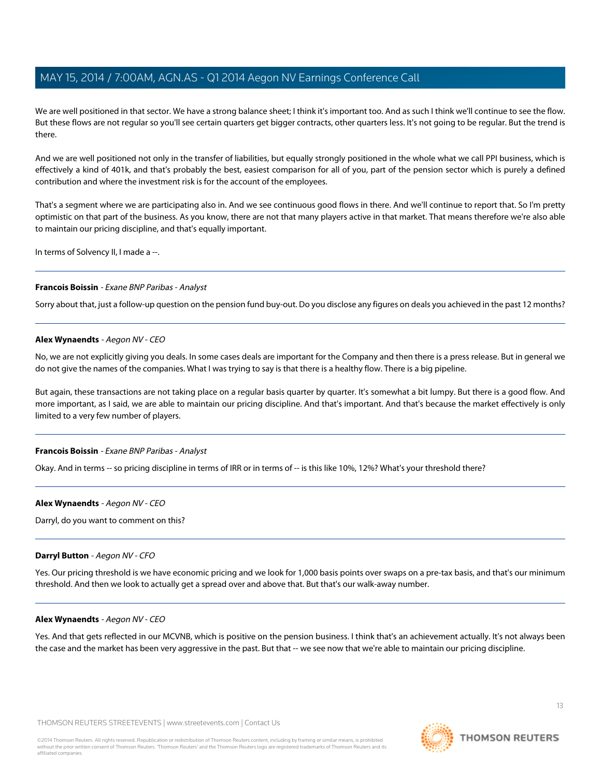We are well positioned in that sector. We have a strong balance sheet; I think it's important too. And as such I think we'll continue to see the flow. But these flows are not regular so you'll see certain quarters get bigger contracts, other quarters less. It's not going to be regular. But the trend is there.

And we are well positioned not only in the transfer of liabilities, but equally strongly positioned in the whole what we call PPI business, which is effectively a kind of 401k, and that's probably the best, easiest comparison for all of you, part of the pension sector which is purely a defined contribution and where the investment risk is for the account of the employees.

That's a segment where we are participating also in. And we see continuous good flows in there. And we'll continue to report that. So I'm pretty optimistic on that part of the business. As you know, there are not that many players active in that market. That means therefore we're also able to maintain our pricing discipline, and that's equally important.

In terms of Solvency II, I made a --.

#### **Francois Boissin** - Exane BNP Paribas - Analyst

Sorry about that, just a follow-up question on the pension fund buy-out. Do you disclose any figures on deals you achieved in the past 12 months?

#### **Alex Wynaendts** - Aegon NV - CEO

No, we are not explicitly giving you deals. In some cases deals are important for the Company and then there is a press release. But in general we do not give the names of the companies. What I was trying to say is that there is a healthy flow. There is a big pipeline.

But again, these transactions are not taking place on a regular basis quarter by quarter. It's somewhat a bit lumpy. But there is a good flow. And more important, as I said, we are able to maintain our pricing discipline. And that's important. And that's because the market effectively is only limited to a very few number of players.

#### **Francois Boissin** - Exane BNP Paribas - Analyst

Okay. And in terms -- so pricing discipline in terms of IRR or in terms of -- is this like 10%, 12%? What's your threshold there?

#### **Alex Wynaendts** - Aegon NV - CEO

Darryl, do you want to comment on this?

#### **Darryl Button** - Aegon NV - CFO

Yes. Our pricing threshold is we have economic pricing and we look for 1,000 basis points over swaps on a pre-tax basis, and that's our minimum threshold. And then we look to actually get a spread over and above that. But that's our walk-away number.

#### **Alex Wynaendts** - Aegon NV - CEO

Yes. And that gets reflected in our MCVNB, which is positive on the pension business. I think that's an achievement actually. It's not always been the case and the market has been very aggressive in the past. But that -- we see now that we're able to maintain our pricing discipline.

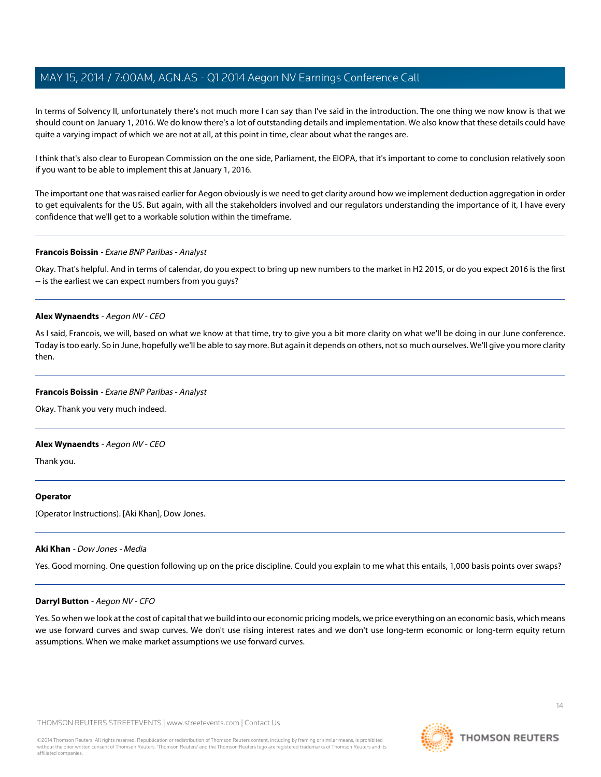In terms of Solvency II, unfortunately there's not much more I can say than I've said in the introduction. The one thing we now know is that we should count on January 1, 2016. We do know there's a lot of outstanding details and implementation. We also know that these details could have quite a varying impact of which we are not at all, at this point in time, clear about what the ranges are.

I think that's also clear to European Commission on the one side, Parliament, the EIOPA, that it's important to come to conclusion relatively soon if you want to be able to implement this at January 1, 2016.

The important one that was raised earlier for Aegon obviously is we need to get clarity around how we implement deduction aggregation in order to get equivalents for the US. But again, with all the stakeholders involved and our regulators understanding the importance of it, I have every confidence that we'll get to a workable solution within the timeframe.

#### **Francois Boissin** - Exane BNP Paribas - Analyst

Okay. That's helpful. And in terms of calendar, do you expect to bring up new numbers to the market in H2 2015, or do you expect 2016 is the first -- is the earliest we can expect numbers from you guys?

#### **Alex Wynaendts** - Aegon NV - CEO

As I said, Francois, we will, based on what we know at that time, try to give you a bit more clarity on what we'll be doing in our June conference. Today is too early. So in June, hopefully we'll be able to say more. But again it depends on others, not so much ourselves. We'll give you more clarity then.

#### **Francois Boissin** - Exane BNP Paribas - Analyst

Okay. Thank you very much indeed.

#### **Alex Wynaendts** - Aegon NV - CEO

Thank you.

#### <span id="page-13-0"></span>**Operator**

(Operator Instructions). [Aki Khan], Dow Jones.

#### **Aki Khan** - Dow Jones - Media

Yes. Good morning. One question following up on the price discipline. Could you explain to me what this entails, 1,000 basis points over swaps?

#### **Darryl Button** - Aegon NV - CFO

Yes. So when we look at the cost of capital that we build into our economic pricing models, we price everything on an economic basis, which means we use forward curves and swap curves. We don't use rising interest rates and we don't use long-term economic or long-term equity return assumptions. When we make market assumptions we use forward curves.